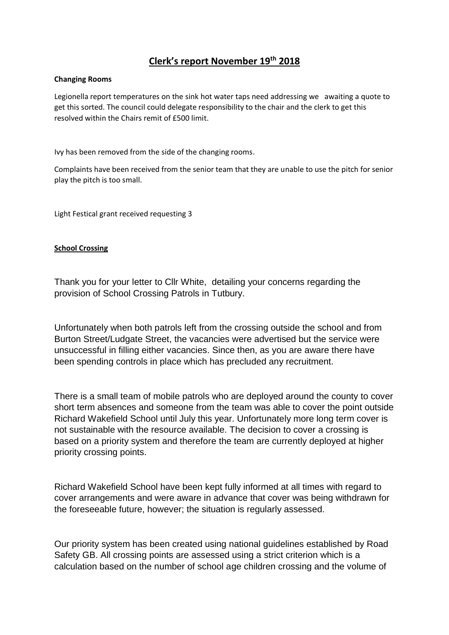# **Clerk's report November 19th 2018**

### **Changing Rooms**

Legionella report temperatures on the sink hot water taps need addressing we awaiting a quote to get this sorted. The council could delegate responsibility to the chair and the clerk to get this resolved within the Chairs remit of £500 limit.

Ivy has been removed from the side of the changing rooms.

Complaints have been received from the senior team that they are unable to use the pitch for senior play the pitch is too small.

Light Festical grant received requesting 3

### **School Crossing**

Thank you for your letter to Cllr White, detailing your concerns regarding the provision of School Crossing Patrols in Tutbury.

Unfortunately when both patrols left from the crossing outside the school and from Burton Street/Ludgate Street, the vacancies were advertised but the service were unsuccessful in filling either vacancies. Since then, as you are aware there have been spending controls in place which has precluded any recruitment.

There is a small team of mobile patrols who are deployed around the county to cover short term absences and someone from the team was able to cover the point outside Richard Wakefield School until July this year. Unfortunately more long term cover is not sustainable with the resource available. The decision to cover a crossing is based on a priority system and therefore the team are currently deployed at higher priority crossing points.

Richard Wakefield School have been kept fully informed at all times with regard to cover arrangements and were aware in advance that cover was being withdrawn for the foreseeable future, however; the situation is regularly assessed.

Our priority system has been created using national guidelines established by Road Safety GB. All crossing points are assessed using a strict criterion which is a calculation based on the number of school age children crossing and the volume of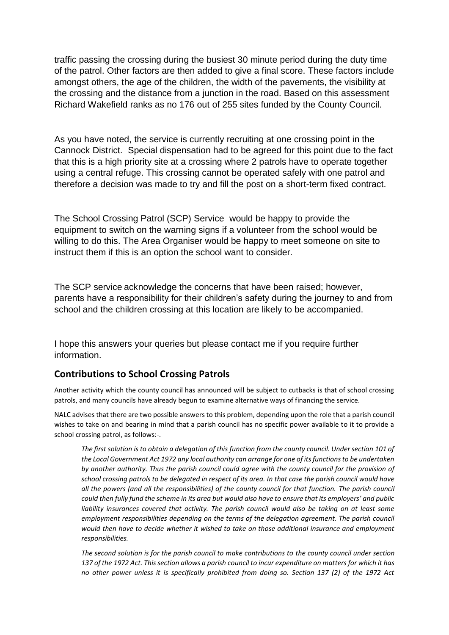traffic passing the crossing during the busiest 30 minute period during the duty time of the patrol. Other factors are then added to give a final score. These factors include amongst others, the age of the children, the width of the pavements, the visibility at the crossing and the distance from a junction in the road. Based on this assessment Richard Wakefield ranks as no 176 out of 255 sites funded by the County Council.

As you have noted, the service is currently recruiting at one crossing point in the Cannock District. Special dispensation had to be agreed for this point due to the fact that this is a high priority site at a crossing where 2 patrols have to operate together using a central refuge. This crossing cannot be operated safely with one patrol and therefore a decision was made to try and fill the post on a short-term fixed contract.

The School Crossing Patrol (SCP) Service would be happy to provide the equipment to switch on the warning signs if a volunteer from the school would be willing to do this. The Area Organiser would be happy to meet someone on site to instruct them if this is an option the school want to consider.

The SCP service acknowledge the concerns that have been raised; however, parents have a responsibility for their children's safety during the journey to and from school and the children crossing at this location are likely to be accompanied.

I hope this answers your queries but please contact me if you require further information.

# **Contributions to School Crossing Patrols**

Another activity which the county council has announced will be subject to cutbacks is that of school crossing patrols, and many councils have already begun to examine alternative ways of financing the service.

NALC advises that there are two possible answers to this problem, depending upon the role that a parish council wishes to take on and bearing in mind that a parish council has no specific power available to it to provide a school crossing patrol, as follows:-.

*The first solution is to obtain a delegation of this function from the county council. Under section 101 of the Local Government Act 1972 any local authority can arrange for one of its functions to be undertaken by another authority. Thus the parish council could agree with the county council for the provision of school crossing patrols to be delegated in respect of its area. In that case the parish council would have all the powers (and all the responsibilities) of the county council for that function. The parish council could then fully fund the scheme in its area but would also have to ensure that its employers' and public liability insurances covered that activity. The parish council would also be taking on at least some employment responsibilities depending on the terms of the delegation agreement. The parish council would then have to decide whether it wished to take on those additional insurance and employment responsibilities.* 

*The second solution is for the parish council to make contributions to the county council under section 137 of the 1972 Act. This section allows a parish council to incur expenditure on matters for which it has no other power unless it is specifically prohibited from doing so. Section 137 (2) of the 1972 Act*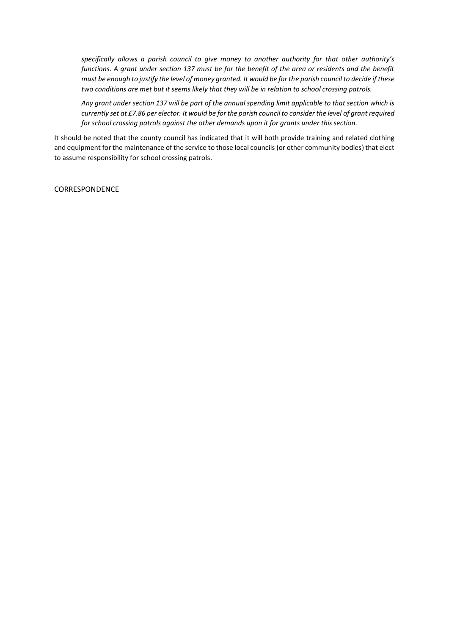*specifically allows a parish council to give money to another authority for that other authority's functions. A grant under section 137 must be for the benefit of the area or residents and the benefit must be enough to justify the level of money granted. It would be for the parish council to decide if these two conditions are met but it seems likely that they will be in relation to school crossing patrols.*

*Any grant under section 137 will be part of the annual spending limit applicable to that section which is currently set at £7.86 per elector. It would be for the parish council to consider the level of grant required for school crossing patrols against the other demands upon it for grants under this section.*

It should be noted that the county council has indicated that it will both provide training and related clothing and equipment for the maintenance of the service to those local councils (or other community bodies) that elect to assume responsibility for school crossing patrols.

**CORRESPONDENCE**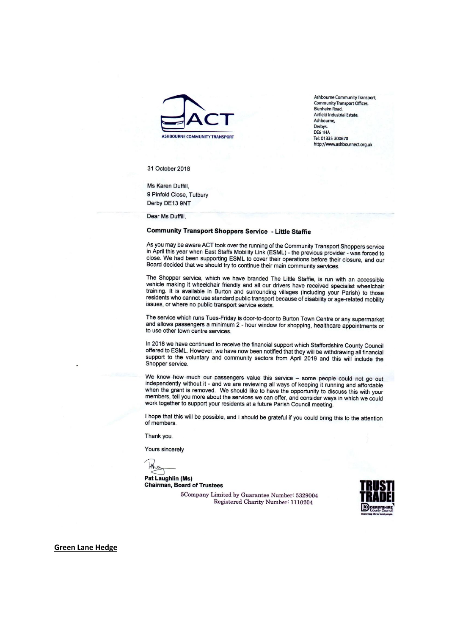

Ashbourne Community Transport, Community Transport Offices, **Blenheim Road.** Airfield Industrial Estate, Ashbourne, Derbys.<br>DE6 1HA Tel: 01335 300670 http://www.ashbournect.org.uk

31 October 2018

Ms Karen Duffill, 9 Pinfold Close, Tutbury Derby DE13 9NT

Dear Ms Duffill,

## **Community Transport Shoppers Service - Little Staffie**

As you may be aware ACT took over the running of the Community Transport Shoppers service in April this year when East Staffs Mobility Link (ESML) - the previous provider - was forced to<br>In April this year when East Staffs Mobility Link (ESML) - the previous provider - was forced to close. We had been supporting ESML to cover their operations before their closure, and our Board decided that we should try to continue their main community services.

The Shopper service, which we have branded The Little Staffie, is run with an accessible vehicle making it wheelchair friendly and all our drivers have received specialist wheelchair training. It is available in Burton and surrounding villages (including your Parish) to those residents who cannot use standard public transport because of disability or age-related mobility issues, or where no public transport service exists.

The service which runs Tues-Friday is door-to-door to Burton Town Centre or any supermarket and allows passengers a minimum 2 - hour window for shopping, healthcare appointments or to use other town centre services.

In 2018 we have continued to receive the financial support which Staffordshire County Council offered to ESML. However, we have now been notified that they will be withdrawing all financial support to the voluntary and community sectors from April 2019 and this will include the Shopper service.

We know how much our passengers value this service - some people could not go out independently without it - and we are reviewing all ways of keeping it running and affordable when the grant is removed. We should like to have the opportunity to discuss this with your members, tell you more about the services we can offer, and consider ways in which we could work together to support your residents at a future Parish Council meeting.

I hope that this will be possible, and I should be grateful if you could bring this to the attention of members.

Thank you.

Yours sincerely

the

Pat Laughlin (Ms) **Chairman, Board of Trustees** 

> 5Company Limited by Guarantee Number: 5329004 Registered Charity Number: 1110204



**Green Lane Hedge**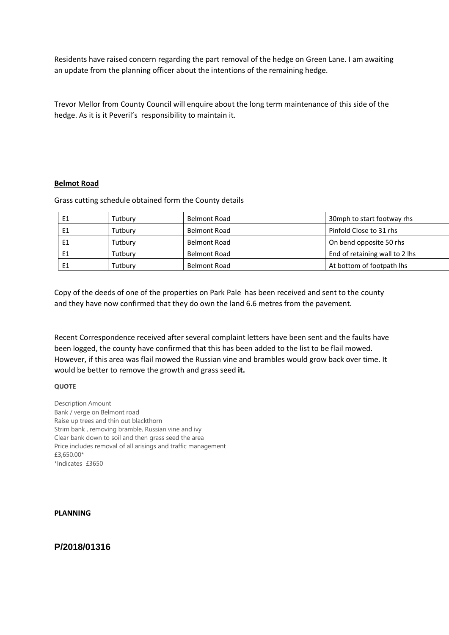Residents have raised concern regarding the part removal of the hedge on Green Lane. I am awaiting an update from the planning officer about the intentions of the remaining hedge.

Trevor Mellor from County Council will enquire about the long term maintenance of this side of the hedge. As it is it Peveril's responsibility to maintain it.

#### **Belmot Road**

Grass cutting schedule obtained form the County details

|    | Tutburv | Belmont Road        | 30mph to start footway rhs     |
|----|---------|---------------------|--------------------------------|
|    | Tutburv | <b>Belmont Road</b> | Pinfold Close to 31 rhs        |
| E1 | Tutbury | Belmont Road        | On bend opposite 50 rhs        |
| E1 | Tutbury | Belmont Road        | End of retaining wall to 2 lhs |
| E1 | Tutburv | Belmont Road        | At bottom of footpath lhs      |

Copy of the deeds of one of the properties on Park Pale has been received and sent to the county and they have now confirmed that they do own the land 6.6 metres from the pavement.

Recent Correspondence received after several complaint letters have been sent and the faults have been logged, the county have confirmed that this has been added to the list to be flail mowed. However, if this area was flail mowed the Russian vine and brambles would grow back over time. It would be better to remove the growth and grass seed **it.**

#### **QUOTE**

Description Amount Bank / verge on Belmont road Raise up trees and thin out blackthorn Strim bank , removing bramble, Russian vine and ivy Clear bank down to soil and then grass seed the area Price includes removal of all arisings and traffic management £3,650.00\* \*Indicates £3650

#### **PLANNING**

## **P/2018/01316**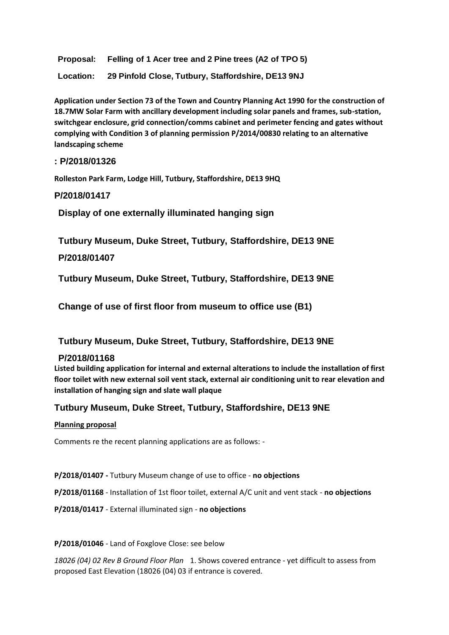**Proposal: Felling of 1 Acer tree and 2 Pine trees (A2 of TPO 5)**

**Location: 29 Pinfold Close, Tutbury, Staffordshire, DE13 9NJ**

**Application under Section 73 of the Town and Country Planning Act 1990 for the construction of 18.7MW Solar Farm with ancillary development including solar panels and frames, sub-station, switchgear enclosure, grid connection/comms cabinet and perimeter fencing and gates without complying with Condition 3 of planning permission P/2014/00830 relating to an alternative landscaping scheme**

## **: P/2018/01326**

**Rolleston Park Farm, Lodge Hill, Tutbury, Staffordshire, DE13 9HQ**

### **P/2018/01417**

**Display of one externally illuminated hanging sign**

**Tutbury Museum, Duke Street, Tutbury, Staffordshire, DE13 9NE**

### **P/2018/01407**

**Tutbury Museum, Duke Street, Tutbury, Staffordshire, DE13 9NE**

**Change of use of first floor from museum to office use (B1)**

### **Tutbury Museum, Duke Street, Tutbury, Staffordshire, DE13 9NE**

### **P/2018/01168**

**Listed building application for internal and external alterations to include the installation of first floor toilet with new external soil vent stack, external air conditioning unit to rear elevation and installation of hanging sign and slate wall plaque**

### **Tutbury Museum, Duke Street, Tutbury, Staffordshire, DE13 9NE**

#### **Planning proposal**

Comments re the recent planning applications are as follows: -

**P/2018/01407 -** Tutbury Museum change of use to office - **no objections**

**P/2018/01168** - Installation of 1st floor toilet, external A/C unit and vent stack - **no objections**

**P/2018/01417** - External illuminated sign - **no objections**

#### **P/2018/01046** - Land of Foxglove Close: see below

*18026 (04) 02 Rev B Ground Floor Plan* 1. Shows covered entrance - yet difficult to assess from proposed East Elevation (18026 (04) 03 if entrance is covered.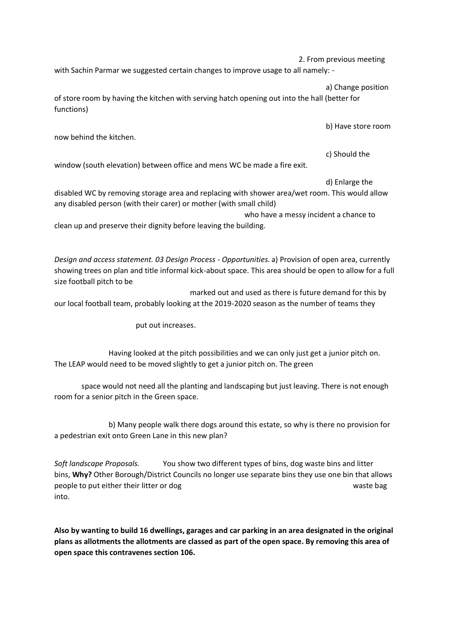2. From previous meeting

with Sachin Parmar we suggested certain changes to improve usage to all namely: -

a) Change position

of store room by having the kitchen with serving hatch opening out into the hall (better for functions)

b) Have store room

now behind the kitchen.

c) Should the

window (south elevation) between office and mens WC be made a fire exit.

### d) Enlarge the

disabled WC by removing storage area and replacing with shower area/wet room. This would allow any disabled person (with their carer) or mother (with small child)

who have a messy incident a chance to

clean up and preserve their dignity before leaving the building.

*Design and access statement. 03 Design Process - Opportunities.* a) Provision of open area, currently showing trees on plan and title informal kick-about space. This area should be open to allow for a full size football pitch to be

marked out and used as there is future demand for this by our local football team, probably looking at the 2019-2020 season as the number of teams they

put out increases.

Having looked at the pitch possibilities and we can only just get a junior pitch on. The LEAP would need to be moved slightly to get a junior pitch on. The green

space would not need all the planting and landscaping but just leaving. There is not enough room for a senior pitch in the Green space.

b) Many people walk there dogs around this estate, so why is there no provision for a pedestrian exit onto Green Lane in this new plan?

*Soft landscape Proposals.* You show two different types of bins, dog waste bins and litter bins, **Why?** Other Borough/District Councils no longer use separate bins they use one bin that allows people to put either their litter or dog waste bag waste bag into.

**Also by wanting to build 16 dwellings, garages and car parking in an area designated in the original plans as allotments the allotments are classed as part of the open space. By removing this area of open space this contravenes section 106.**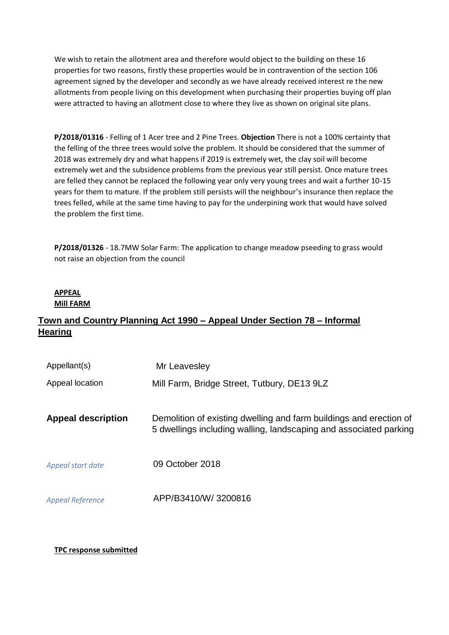We wish to retain the allotment area and therefore would object to the building on these 16 properties for two reasons, firstly these properties would be in contravention of the section 106 agreement signed by the developer and secondly as we have already received interest re the new allotments from people living on this development when purchasing their properties buying off plan were attracted to having an allotment close to where they live as shown on original site plans.

**P/2018/01316** - Felling of 1 Acer tree and 2 Pine Trees. **Objection** There is not a 100% certainty that the felling of the three trees would solve the problem. It should be considered that the summer of 2018 was extremely dry and what happens if 2019 is extremely wet, the clay soil will become extremely wet and the subsidence problems from the previous year still persist. Once mature trees are felled they cannot be replaced the following year only very young trees and wait a further 10-15 years for them to mature. If the problem still persists will the neighbour's insurance then replace the trees felled, while at the same time having to pay for the underpining work that would have solved the problem the first time.

**P/2018/01326** - 18.7MW Solar Farm: The application to change meadow pseeding to grass would not raise an objection from the council

### **APPEAL Mill FARM**

# **Town and Country Planning Act 1990 – Appeal Under Section 78 – Informal Hearing**

| Appellant(s)              | Mr Leavesley                                                                                                                            |
|---------------------------|-----------------------------------------------------------------------------------------------------------------------------------------|
| Appeal location           | Mill Farm, Bridge Street, Tutbury, DE13 9LZ                                                                                             |
| <b>Appeal description</b> | Demolition of existing dwelling and farm buildings and erection of<br>5 dwellings including walling, landscaping and associated parking |
| Appeal start date         | 09 October 2018                                                                                                                         |
| <b>Appeal Reference</b>   | APP/B3410/W/3200816                                                                                                                     |

### **TPC response submitted**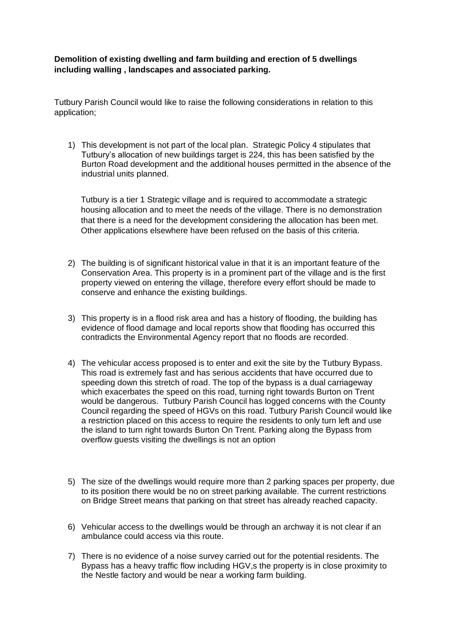**Demolition of existing dwelling and farm building and erection of 5 dwellings including walling , landscapes and associated parking.**

Tutbury Parish Council would like to raise the following considerations in relation to this application;

1) This development is not part of the local plan. Strategic Policy 4 stipulates that Tutbury's allocation of new buildings target is 224, this has been satisfied by the Burton Road development and the additional houses permitted in the absence of the industrial units planned.

Tutbury is a tier 1 Strategic village and is required to accommodate a strategic housing allocation and to meet the needs of the village. There is no demonstration that there is a need for the development considering the allocation has been met. Other applications elsewhere have been refused on the basis of this criteria.

- 2) The building is of significant historical value in that it is an important feature of the Conservation Area. This property is in a prominent part of the village and is the first property viewed on entering the village, therefore every effort should be made to conserve and enhance the existing buildings.
- 3) This property is in a flood risk area and has a history of flooding, the building has evidence of flood damage and local reports show that flooding has occurred this contradicts the Environmental Agency report that no floods are recorded.
- 4) The vehicular access proposed is to enter and exit the site by the Tutbury Bypass. This road is extremely fast and has serious accidents that have occurred due to speeding down this stretch of road. The top of the bypass is a dual carriageway which exacerbates the speed on this road, turning right towards Burton on Trent would be dangerous. Tutbury Parish Council has logged concerns with the County Council regarding the speed of HGVs on this road. Tutbury Parish Council would like a restriction placed on this access to require the residents to only turn left and use the island to turn right towards Burton On Trent. Parking along the Bypass from overflow guests visiting the dwellings is not an option
- 5) The size of the dwellings would require more than 2 parking spaces per property, due to its position there would be no on street parking available. The current restrictions on Bridge Street means that parking on that street has already reached capacity.
- 6) Vehicular access to the dwellings would be through an archway it is not clear if an ambulance could access via this route.
- 7) There is no evidence of a noise survey carried out for the potential residents. The Bypass has a heavy traffic flow including HGV,s the property is in close proximity to the Nestle factory and would be near a working farm building.